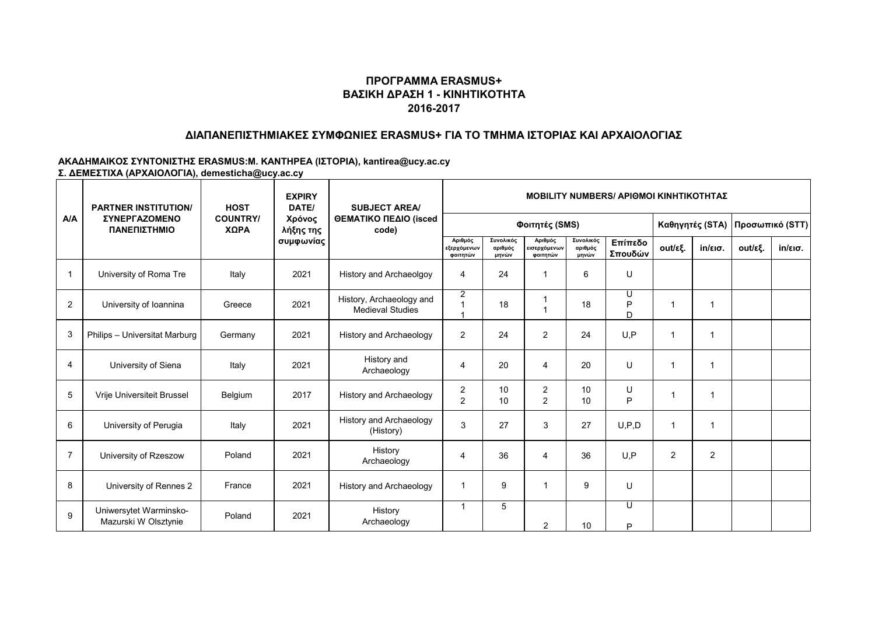#### **ΔΙΑΠΑΝΕΠΙΣΤΗΜΙΑΚΕΣ ΣΥΜΦΩΝΙΕΣ ERASMUS+ ΓΙΑ ΤΟ ΤΜΗΜΑ ΙΣΤΟΡΙΑΣ ΚΑΙ ΑΡΧΑΙΟΛΟΓΙΑΣ**

|                | <b>PARTNER INSTITUTION/</b><br><b><i>ΣΥΝΕΡΓΑΖΟΜΕΝΟ</i></b><br>ΠΑΝΕΠΙΣΤΗΜΙΟ | <b>HOST</b>             | <b>EXPIRY</b><br>DATE/<br>Χρόνος<br>λήξης της<br>συμφωνίας | <b>SUBJECT AREA/</b><br>ΘΕΜΑΤΙΚΟ ΠΕΔΙΟ (isced<br>code) | <b>MOBILITY NUMBERS/ APIOMOI KINHTIKOTHTAZ</b> |                               |                                     |                               |                        |              |                   |         |                   |  |
|----------------|----------------------------------------------------------------------------|-------------------------|------------------------------------------------------------|--------------------------------------------------------|------------------------------------------------|-------------------------------|-------------------------------------|-------------------------------|------------------------|--------------|-------------------|---------|-------------------|--|
| A/A            |                                                                            | <b>COUNTRY/</b><br>ΧΩΡΑ |                                                            |                                                        |                                                |                               | Φοιτητές (SMS)                      |                               | Καθηγητές (STA)        |              | Προσωπικό (STT)   |         |                   |  |
|                |                                                                            |                         |                                                            |                                                        | Αριθμός<br>εξερχόμενων<br>φοιτητών             | Συνολικός<br>αριθμός<br>μηνών | Αριθμός<br>εισερχόμενων<br>φοιτητών | Συνολικός<br>αριθμός<br>μηνών | Επίπεδο<br>Σπουδών     | out/εξ.      | $in/\epsilon$ ισ. | out/εξ. | $in/\epsilon$ ισ. |  |
| 1              | University of Roma Tre                                                     | Italy                   | 2021                                                       | History and Archaeolgoy                                | 4                                              | 24                            |                                     | 6                             | U                      |              |                   |         |                   |  |
| $\overline{2}$ | University of Ioannina                                                     | Greece                  | 2021                                                       | History, Archaeology and<br><b>Medieval Studies</b>    | 2                                              | 18                            |                                     | 18                            | U<br>P<br><sub>D</sub> | -1           | 1                 |         |                   |  |
| 3              | Philips - Universitat Marburg                                              | Germany                 | 2021                                                       | History and Archaeology                                | $\overline{2}$                                 | 24                            | 2                                   | 24                            | U.P                    | -1           | 1                 |         |                   |  |
| $\overline{4}$ | University of Siena                                                        | Italy                   | 2021                                                       | History and<br>Archaeology                             | 4                                              | 20                            | $\overline{4}$                      | 20                            | $\cup$                 | -1           | 1                 |         |                   |  |
| 5              | Vrije Universiteit Brussel                                                 | Belgium                 | 2017                                                       | History and Archaeology                                | 2<br>$\overline{2}$                            | 10<br>10                      | $\overline{2}$<br>$\overline{2}$    | 10<br>10                      | U<br>P                 | $\mathbf{1}$ | 1                 |         |                   |  |
| 6              | University of Perugia                                                      | Italy                   | 2021                                                       | History and Archaeology<br>(History)                   | 3                                              | 27                            | 3                                   | 27                            | U, P, D                | $\mathbf{1}$ | 1                 |         |                   |  |
| $\overline{7}$ | University of Rzeszow                                                      | Poland                  | 2021                                                       | History<br>Archaeology                                 | 4                                              | 36                            | $\overline{4}$                      | 36                            | U.P                    | 2            | $\overline{2}$    |         |                   |  |
| 8              | University of Rennes 2                                                     | France                  | 2021                                                       | History and Archaeology                                | 1                                              | 9                             |                                     | 9                             | U                      |              |                   |         |                   |  |
| 9              | Uniwersytet Warminsko-<br>Mazurski W Olsztynie                             | Poland                  | 2021                                                       | History<br>Archaeology                                 | 1                                              | 5                             | $\overline{2}$                      | 10                            | U<br>P                 |              |                   |         |                   |  |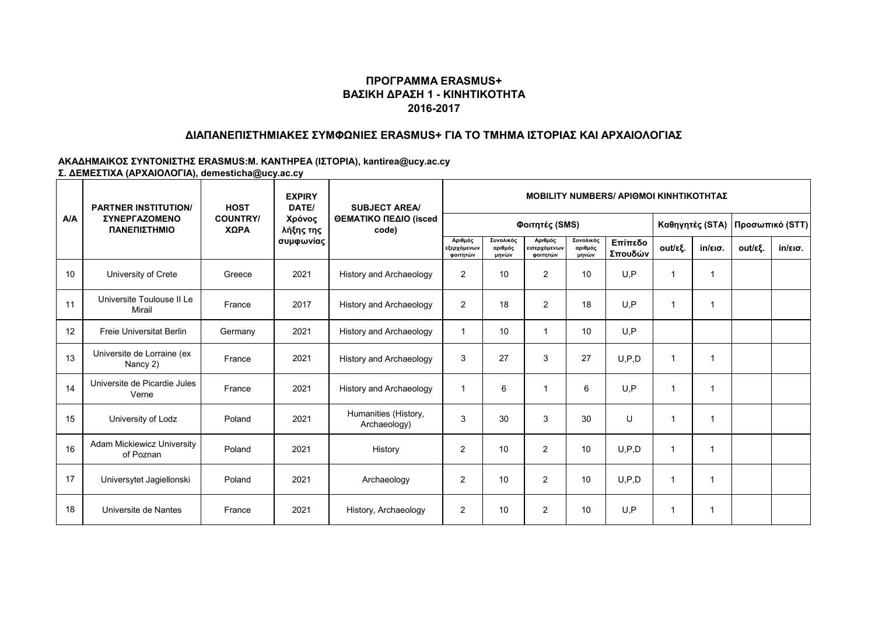#### **ΔΙΑΠΑΝΕΠΙΣΤΗΜΙΑΚΕΣ ΣΥΜΦΩΝΙΕΣ ERASMUS+ ΓΙΑ ΤΟ ΤΜΗΜΑ ΙΣΤΟΡΙΑΣ ΚΑΙ ΑΡΧΑΙΟΛΟΓΙΑΣ**

|     | <b>PARTNER INSTITUTION/</b><br>ΣΥΝΕΡΓΑΖΟΜΕΝΟ<br>ΠΑΝΕΠΙΣΤΗΜΙΟ | <b>HOST</b>             | <b>EXPIRY</b><br>DATE/<br>Χρόνος<br>λήξης της<br>συμφωνίας | <b>SUBJECT AREA/</b><br>ΘΕΜΑΤΙΚΟ ΠΕΔΙΟ (isced<br>code) | <b>MOBILITY NUMBERS/ APIOMOI KINHTIKOTHTAZ</b> |                               |                                     |                               |                    |              |                   |                                 |                   |  |
|-----|--------------------------------------------------------------|-------------------------|------------------------------------------------------------|--------------------------------------------------------|------------------------------------------------|-------------------------------|-------------------------------------|-------------------------------|--------------------|--------------|-------------------|---------------------------------|-------------------|--|
| A/A |                                                              | <b>COUNTRY/</b><br>ΧΩΡΑ |                                                            |                                                        |                                                |                               | Φοιτητές (SMS)                      |                               |                    |              |                   | Καθηγητές (STA) Προσωπικό (STT) |                   |  |
|     |                                                              |                         |                                                            |                                                        | Αριθμός<br>εξερχόμενων<br>φοιτητών             | Συνολικός<br>αριθμός<br>μηνών | Αριθμός<br>εισερχόμενων<br>φοιτητών | Συνολικός<br>αριθμός<br>μηνών | Επίπεδο<br>Σπουδών | out/εξ.      | $in/\epsilon$ ισ. | out/εξ.                         | $in/\epsilon$ ισ. |  |
| 10  | University of Crete                                          | Greece                  | 2021                                                       | <b>History and Archaeology</b>                         | $\overline{2}$                                 | 10                            | 2                                   | 10                            | U.P                | $\mathbf{1}$ | 1                 |                                 |                   |  |
| 11  | Universite Toulouse II Le<br>Mirail                          | France                  | 2017                                                       | History and Archaeology                                | $\overline{2}$                                 | 18                            | $\overline{2}$                      | 18                            | U.P                | $\mathbf{1}$ | 1                 |                                 |                   |  |
| 12  | <b>Freie Universitat Berlin</b>                              | Germany                 | 2021                                                       | History and Archaeology                                | 1                                              | 10                            |                                     | 10                            | U.P                |              |                   |                                 |                   |  |
| 13  | Universite de Lorraine (ex<br>Nancy 2)                       | France                  | 2021                                                       | History and Archaeology                                | 3                                              | 27                            | 3                                   | 27                            | U, P, D            | $\mathbf{1}$ |                   |                                 |                   |  |
| 14  | Universite de Picardie Jules<br>Verne                        | France                  | 2021                                                       | History and Archaeology                                | 1                                              | 6                             |                                     | 6                             | U.P                | $\mathbf{1}$ |                   |                                 |                   |  |
| 15  | University of Lodz                                           | Poland                  | 2021                                                       | Humanities (History,<br>Archaeology)                   | 3                                              | 30                            | 3                                   | 30                            | $\cup$             | $\mathbf{1}$ | 1                 |                                 |                   |  |
| 16  | <b>Adam Mickiewicz University</b><br>of Poznan               | Poland                  | 2021                                                       | History                                                | $\overline{2}$                                 | 10                            | $\overline{2}$                      | 10                            | U, P, D            | -1           | 1                 |                                 |                   |  |
| 17  | Universytet Jagiellonski                                     | Poland                  | 2021                                                       | Archaeology                                            | 2                                              | 10                            | 2                                   | 10                            | U.P.D              | -1           | 1                 |                                 |                   |  |
| 18  | Universite de Nantes                                         | France                  | 2021                                                       | History, Archaeology                                   | 2                                              | 10                            | $\overline{2}$                      | 10                            | U.P                | -1           | 1                 |                                 |                   |  |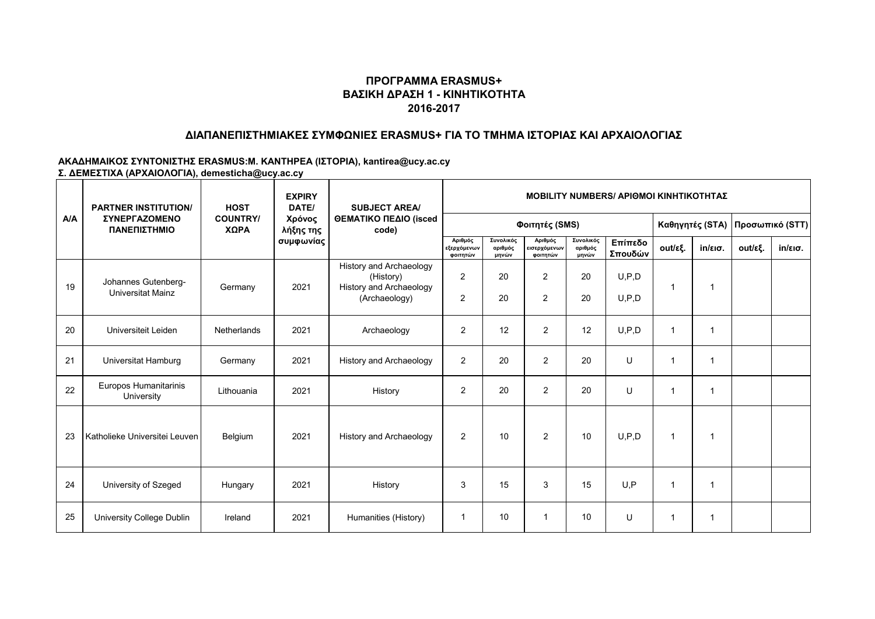#### **ΔΙΑΠΑΝΕΠΙΣΤΗΜΙΑΚΕΣ ΣΥΜΦΩΝΙΕΣ ERASMUS+ ΓΙΑ ΤΟ ΤΜΗΜΑ ΙΣΤΟΡΙΑΣ ΚΑΙ ΑΡΧΑΙΟΛΟΓΙΑΣ**

|     | <b>PARTNER INSTITUTION/</b>              | <b>HOST</b>             | <b>EXPIRY</b><br>DATE/<br>Χρόνος<br>λήξης της<br>συμφωνίας | <b>SUBJECT AREA/</b><br>ΘΕΜΑΤΙΚΟ ΠΕΔΙΟ (isced<br>code)                                  | <b>MOBILITY NUMBERS/ APIOMOI KINHTIKOTHTAZ</b> |                               |                                     |                               |                    |                 |                   |                 |                   |  |
|-----|------------------------------------------|-------------------------|------------------------------------------------------------|-----------------------------------------------------------------------------------------|------------------------------------------------|-------------------------------|-------------------------------------|-------------------------------|--------------------|-----------------|-------------------|-----------------|-------------------|--|
| A/A | ΣΥΝΕΡΓΑΖΟΜΕΝΟ<br>ΠΑΝΕΠΙΣΤΗΜΙΟ            | <b>COUNTRY/</b><br>ΧΩΡΑ |                                                            |                                                                                         | Φοιτητές (SMS)                                 |                               |                                     |                               |                    | Καθηγητές (STA) |                   | Προσωπικό (STT) |                   |  |
|     |                                          |                         |                                                            |                                                                                         | Αριθμός<br>εξερχόμενων<br>φοιτητών             | Συνολικός<br>αριθμός<br>μηνών | Αριθμός<br>εισερχόμενων<br>φοιτητών | Συνολικός<br>αριθμός<br>μηνών | Επίπεδο<br>Σπουδών | out/εξ.         | $in/\epsilon$ ισ. | out/εξ.         | $in/\epsilon$ ισ. |  |
| 19  | Johannes Gutenberg-<br>Universitat Mainz | Germany                 | 2021                                                       | History and Archaeology<br>(History)<br><b>History and Archaeology</b><br>(Archaeology) | $\overline{2}$<br>$\overline{2}$               | 20<br>20                      | 2<br>2                              | 20<br>20                      | U, P, D<br>U.P.D   | -1              | 1                 |                 |                   |  |
| 20  | Universiteit Leiden                      | Netherlands             | 2021                                                       | Archaeology                                                                             | $\overline{2}$                                 | 12                            | $\overline{2}$                      | 12                            | U, P, D            | $\mathbf 1$     | 1                 |                 |                   |  |
| 21  | Universitat Hamburg                      | Germany                 | 2021                                                       | History and Archaeology                                                                 | $\overline{2}$                                 | 20                            | 2                                   | 20                            | U                  | -1              | 1                 |                 |                   |  |
| 22  | Europos Humanitarinis<br>University      | Lithouania              | 2021                                                       | History                                                                                 | 2                                              | 20                            | 2                                   | 20                            | $\mathbf{U}$       | -1              | 1                 |                 |                   |  |
| 23  | Katholieke Universitei Leuven            | Belgium                 | 2021                                                       | History and Archaeology                                                                 | 2                                              | 10                            | 2                                   | 10                            | U, P, D            | -1              | 1                 |                 |                   |  |
| 24  | University of Szeged                     | Hungary                 | 2021                                                       | History                                                                                 | 3                                              | 15                            | 3                                   | 15                            | U.P                | 1               | 1                 |                 |                   |  |
| 25  | University College Dublin                | Ireland                 | 2021                                                       | Humanities (History)                                                                    | -1                                             | 10                            | -1                                  | 10                            | U                  | -1              | 1                 |                 |                   |  |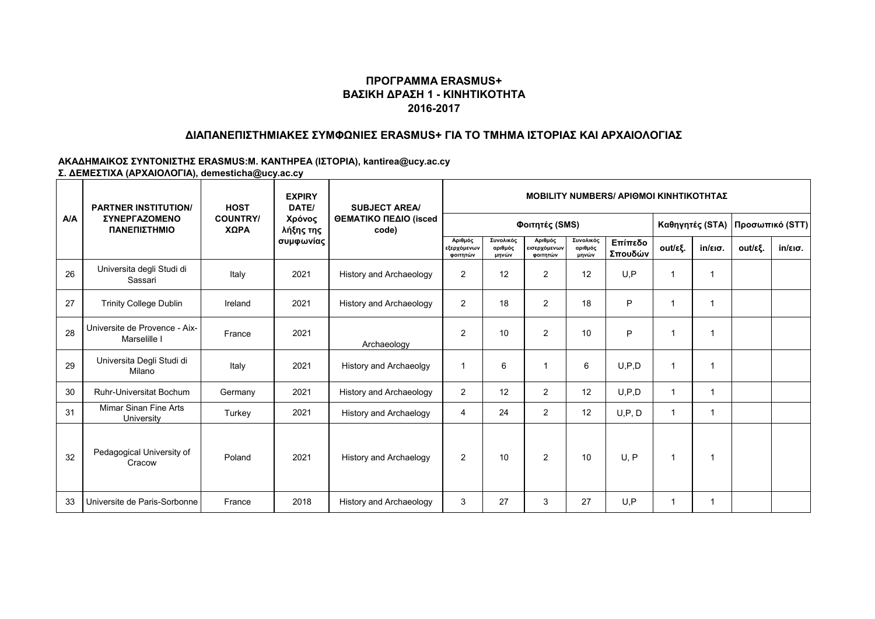#### **ΔΙΑΠΑΝΕΠΙΣΤΗΜΙΑΚΕΣ ΣΥΜΦΩΝΙΕΣ ERASMUS+ ΓΙΑ ΤΟ ΤΜΗΜΑ ΙΣΤΟΡΙΑΣ ΚΑΙ ΑΡΧΑΙΟΛΟΓΙΑΣ**

|     | <b>PARTNER INSTITUTION/</b>                   | <b>HOST</b>             | <b>EXPIRY</b><br>DATE/<br>Χρόνος<br>λήξης της<br>συμφωνίας | <b>SUBJECT AREA/</b><br>ΘΕΜΑΤΙΚΟ ΠΕΔΙΟ (isced<br>code) | <b>MOBILITY NUMBERS/ APIOMOI KINHTIKOTHTAZ</b> |                               |                                     |                               |                    |                      |                                 |         |                   |  |
|-----|-----------------------------------------------|-------------------------|------------------------------------------------------------|--------------------------------------------------------|------------------------------------------------|-------------------------------|-------------------------------------|-------------------------------|--------------------|----------------------|---------------------------------|---------|-------------------|--|
| A/A | ΣΥΝΕΡΓΑΖΟΜΕΝΟ<br>ΠΑΝΕΠΙΣΤΗΜΙΟ                 | <b>COUNTRY/</b><br>ΧΩΡΑ |                                                            |                                                        |                                                |                               | Φοιτητές (SMS)                      |                               |                    |                      | Καθηγητές (STA) Προσωπικό (STT) |         |                   |  |
|     |                                               |                         |                                                            |                                                        | Αριθμός<br>εξερχόμενων<br>φοιτητών             | Συνολικός<br>αριθμός<br>μηνών | Αριθμός<br>εισερχόμενων<br>φοιτητών | Συνολικός<br>αριθμός<br>μηνών | Επίπεδο<br>Σπουδών | out/εξ.              | $in/\epsilon$ ισ.               | out/εξ. | $in/\epsilon$ ισ. |  |
| 26  | Universita degli Studi di<br>Sassari          | Italy                   | 2021                                                       | <b>History and Archaeology</b>                         | 2                                              | 12                            | $\overline{2}$                      | 12                            | U.P                | -1                   |                                 |         |                   |  |
| 27  | <b>Trinity College Dublin</b>                 | Ireland                 | 2021                                                       | History and Archaeology                                | $\overline{2}$                                 | 18                            | $\overline{2}$                      | 18                            | P                  |                      |                                 |         |                   |  |
| 28  | Universite de Provence - Aix-<br>Marselille I | France                  | 2021                                                       | Archaeology                                            | $\overline{2}$                                 | 10                            | 2                                   | 10                            | P                  | $\blacktriangleleft$ | 1                               |         |                   |  |
| 29  | Universita Degli Studi di<br>Milano           | Italy                   | 2021                                                       | History and Archaeolgy                                 | 1                                              | 6                             |                                     | 6                             | U.P.D              | $\mathbf{1}$         | 1                               |         |                   |  |
| 30  | <b>Ruhr-Universitat Bochum</b>                | Germany                 | 2021                                                       | History and Archaeology                                | $\overline{2}$                                 | 12                            | $\overline{2}$                      | 12                            | U, P, D            | $\mathbf{1}$         | 1                               |         |                   |  |
| 31  | Mimar Sinan Fine Arts<br>University           | Turkey                  | 2021                                                       | <b>History and Archaelogy</b>                          | 4                                              | 24                            | 2                                   | 12                            | U, P, D            | $\mathbf{1}$         | 1                               |         |                   |  |
| 32  | Pedagogical University of<br>Cracow           | Poland                  | 2021                                                       | <b>History and Archaelogy</b>                          | $\overline{2}$                                 | 10                            | 2                                   | 10                            | U, P               | $\mathbf{1}$         | 1                               |         |                   |  |
| 33  | Universite de Paris-Sorbonne                  | France                  | 2018                                                       | History and Archaeology                                | 3                                              | 27                            | 3                                   | 27                            | U.P                |                      | 1                               |         |                   |  |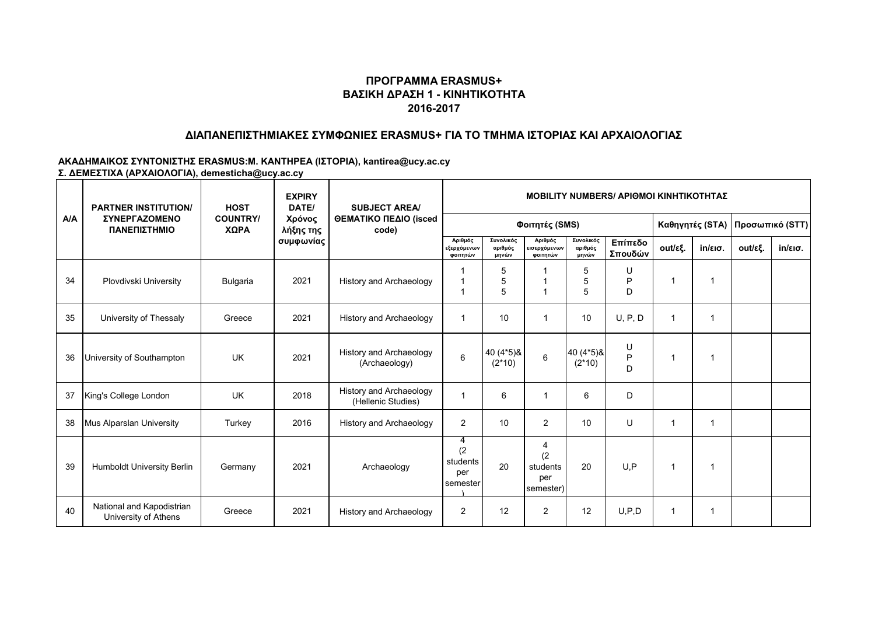#### **ΔΙΑΠΑΝΕΠΙΣΤΗΜΙΑΚΕΣ ΣΥΜΦΩΝΙΕΣ ERASMUS+ ΓΙΑ ΤΟ ΤΜΗΜΑ ΙΣΤΟΡΙΑΣ ΚΑΙ ΑΡΧΑΙΟΛΟΓΙΑΣ**

|     | <b>PARTNER INSTITUTION/</b><br><b><i>ΣΥΝΕΡΓΑΖΟΜΕΝΟ</i></b><br>ΠΑΝΕΠΙΣΤΗΜΙΟ | <b>HOST</b>             | <b>EXPIRY</b><br>DATE/<br>Χρόνος<br>λήξης της<br>συμφωνίας | <b>SUBJECT AREA/</b><br>ΘΕΜΑΤΙΚΟ ΠΕΔΙΟ (isced<br>code) | <b>MOBILITY NUMBERS/ APIOMOI KINHTIKOTHTAZ</b> |                               |                                          |                               |                       |                      |                   |                                   |                   |  |
|-----|----------------------------------------------------------------------------|-------------------------|------------------------------------------------------------|--------------------------------------------------------|------------------------------------------------|-------------------------------|------------------------------------------|-------------------------------|-----------------------|----------------------|-------------------|-----------------------------------|-------------------|--|
| A/A |                                                                            | <b>COUNTRY/</b><br>ΧΩΡΑ |                                                            |                                                        | Φοιτητές (SMS)                                 |                               |                                          |                               |                       |                      |                   | Καθηγητές (STA)   Προσωπικό (STT) |                   |  |
|     |                                                                            |                         |                                                            |                                                        | Αριθμός<br>εξερχόμενων<br>φοιτητών             | Συνολικός<br>αριθμός<br>μηνών | Αριθμός<br>εισερχόμενων<br>φοιτητών      | Συνολικός<br>αριθμός<br>μηνών | Επίπεδο<br>Σπουδών    | out/εξ.              | $in/\epsilon$ ισ. | out/εξ.                           | $in/\epsilon$ ισ. |  |
| 34  | Plovdivski University                                                      | <b>Bulgaria</b>         | 2021                                                       | <b>History and Archaeology</b>                         | 1<br>1                                         | 5<br>5<br>5                   | $\overline{1}$                           | 5<br>5<br>5                   | U<br>P<br>D           | $\overline{1}$       |                   |                                   |                   |  |
| 35  | University of Thessaly                                                     | Greece                  | 2021                                                       | <b>History and Archaeology</b>                         | 1                                              | 10                            | 1                                        | 10                            | U, P, D               | $\mathbf{1}$         | 1                 |                                   |                   |  |
| 36  | University of Southampton                                                  | UK                      | 2021                                                       | History and Archaeology<br>(Archaeology)               | 6                                              | 40 (4*5) &<br>$(2*10)$        | $\,6$                                    | 40 (4*5) &<br>$(2*10)$        | U<br>$\mathsf P$<br>D | $\mathbf 1$          |                   |                                   |                   |  |
| 37  | King's College London                                                      | <b>UK</b>               | 2018                                                       | History and Archaeology<br>(Hellenic Studies)          | 1                                              | 6                             | 1                                        | 6                             | D                     |                      |                   |                                   |                   |  |
| 38  | Mus Alparslan University                                                   | Turkey                  | 2016                                                       | History and Archaeology                                | 2                                              | 10                            | 2                                        | 10                            | $\cup$                | $\blacktriangleleft$ | 1                 |                                   |                   |  |
| 39  | Humboldt University Berlin                                                 | Germany                 | 2021                                                       | Archaeology                                            | 4<br>(2)<br>students<br>per<br>semester        | 20                            | 4<br>(2)<br>students<br>per<br>semester) | 20                            | U.P                   | $\mathbf{1}$         |                   |                                   |                   |  |
| 40  | National and Kapodistrian<br>University of Athens                          | Greece                  | 2021                                                       | History and Archaeology                                | 2                                              | 12                            | 2                                        | 12                            | U, P, D               | $\mathbf{1}$         |                   |                                   |                   |  |